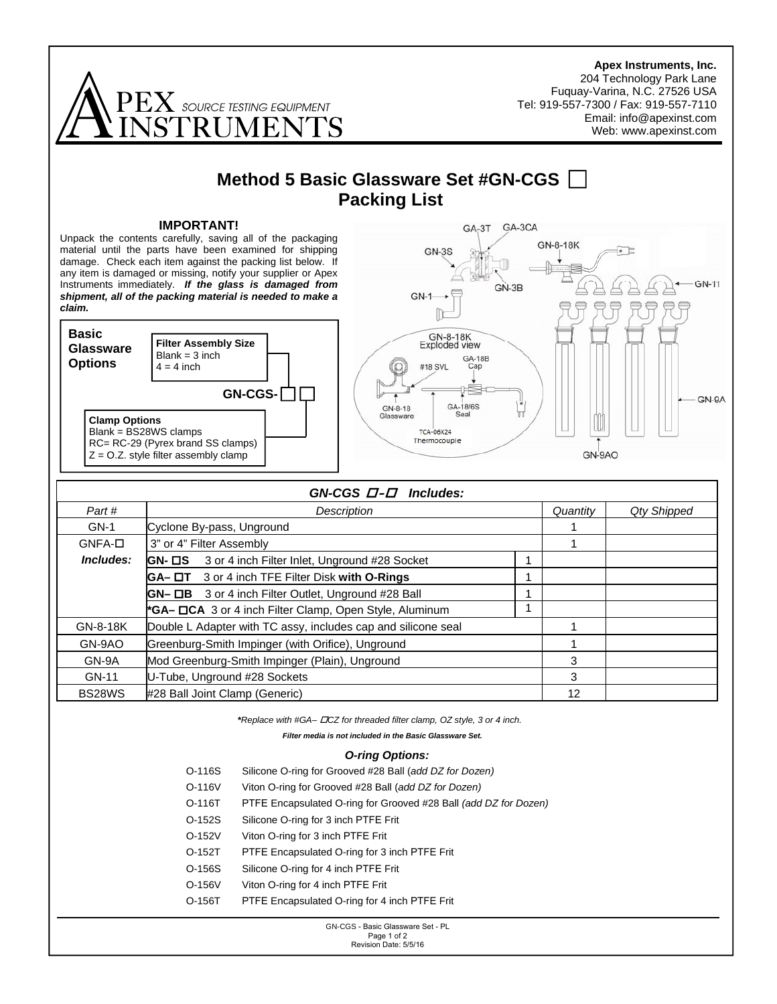**Apex Instruments, Inc.**  204 Technology Park Lane Fuquay-Varina, N.C. 27526 USA  $\mathbf{P}\mathbf{K}$  source testing equipment Tel: 919-557-7300 / Fax: 919-557-7110 Email: info@apexinst.com RHMEN Web: www.apexinst.com **Method 5 Basic Glassware Set #GN-CGS Packing List IMPORTANT!**  GA-3T GA-3CA Unpack the contents carefully, saving all of the packaging GN-8-18K material until the parts have been examined for shipping  $GN-3S$  $\cdot$   $\pm$ damage. Check each item against the packing list below. If any item is damaged or missing, notify your supplier or Apex Instruments immediately. *If the glass is damaged from*  **GN-11**  $GN-3B$  $GN-1$ *shipment, all of the packing material is needed to make a claim.*  $\mathbb{R}$ **Basic**  GN-8-18K<br>Exploded view **Filter Assembly Size Glassware**   $Blank = 3$  inch GA-18B<br>Cap **Options**  #18 SVL  $4 = 4$  inch **GN-CGS-**GN-9A GA-18/6S GN-8-18 'n Glassware Seal **Clamp Options**  Blank = BS28WS clamps **TCA-06X24** Thermocouple RC= RC-29 (Pyrex brand SS clamps)  $Z = O.Z$ . style filter assembly clamp GN-9AO *GN-CGS* **-***Includes: Part # Description Quantity Qty Shipped*  GN-1 Cyclone By-pass, Unground 1 and 1 and 1 and 1 and 1 and 1 and 1 and 1 and 1 and 1 and 1 and 1 and 1 and 1 GNFA-<sup>[]</sup> 3" or 4" Filter Assembly 1  *Includes:*  **GN- □S** 3 or 4 inch Filter Inlet, Unground #28 Socket 1 **GA–**  $\Box$ **T** 3 or 4 inch TFE Filter Disk with **O-Rings** 1 **GN–**  $\Box$ **B** 3 or 4 inch Filter Outlet, Unground #28 Ball 1 **\*GA– CA** 3 or 4 inch Filter Clamp, Open Style, Aluminum 1 GN-8-18K Double L Adapter with TC assy, includes cap and silicone seal 1 GN-9AO Greenburg-Smith Impinger (with Orifice), Unground 1 GN-9A Mod Greenburg-Smith Impinger (Plain), Unground 3 GN-11 U-Tube, Unground #28 Sockets 3 BS28WS #28 Ball Joint Clamp (Generic) 12 *\*Replace with #GA– CZ for threaded filter clamp, OZ style, 3 or 4 inch. Filter media is not included in the Basic Glassware Set. O-ring Options:* O-116S Silicone O-ring for Grooved #28 Ball (*add DZ for Dozen)* O-116V Viton O-ring for Grooved #28 Ball (*add DZ for Dozen)*  O-116T PTFE Encapsulated O-ring for Grooved #28 Ball *(add DZ for Dozen)*  O-152S Silicone O-ring for 3 inch PTFE Frit O-152V Viton O-ring for 3 inch PTFE Frit O-152T PTFE Encapsulated O-ring for 3 inch PTFE Frit

- O-156S Silicone O-ring for 4 inch PTFE Frit
- O-156V Viton O-ring for 4 inch PTFE Frit
- O-156T PTFE Encapsulated O-ring for 4 inch PTFE Frit

GN-CGS - Basic Glassware Set - PL Page 1 of 2 Revision Date: 5/5/16